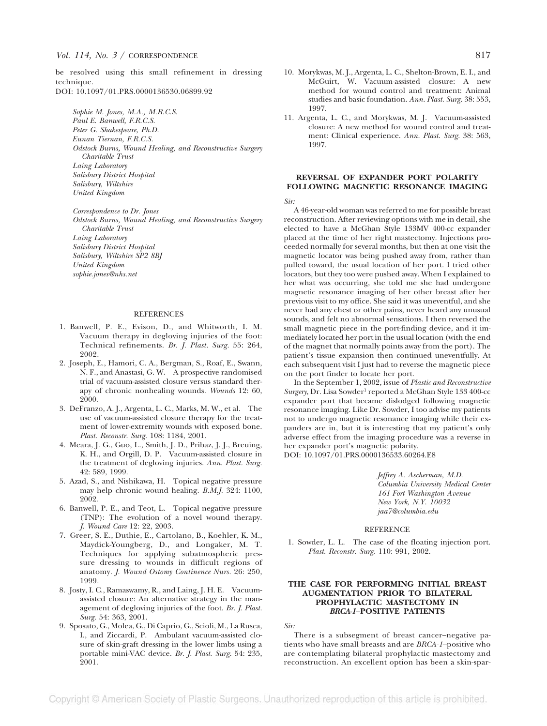be resolved using this small refinement in dressing technique.

DOI: 10.1097/01.PRS.0000136530.06899.92

*Sophie M. Jones, M.A., M.R.C.S. Paul E. Banwell, F.R.C.S. Peter G. Shakespeare, Ph.D. Eunan Tiernan, F.R.C.S. Odstock Burns, Wound Healing, and Reconstructive Surgery Charitable Trust Laing Laboratory Salisbury District Hospital Salisbury, Wiltshire United Kingdom*

*Correspondence to Dr. Jones Odstock Burns, Wound Healing, and Reconstructive Surgery Charitable Trust Laing Laboratory Salisbury District Hospital Salisbury, Wiltshire SP2 8BJ United Kingdom sophie.jones@nhs.net*

## **REFERENCES**

- 1. Banwell, P. E., Evison, D., and Whitworth, I. M. Vacuum therapy in degloving injuries of the foot: Technical refinements. *Br. J. Plast. Surg.* 55: 264, 2002.
- 2. Joseph, E., Hamori, C. A., Bergman, S., Roaf, E., Swann, N. F., and Anastasi, G. W. A prospective randomised trial of vacuum-assisted closure versus standard therapy of chronic nonhealing wounds. *Wounds* 12: 60, 2000.
- 3. DeFranzo, A. J., Argenta, L. C., Marks, M. W., et al. The use of vacuum-assisted closure therapy for the treatment of lower-extremity wounds with exposed bone. *Plast. Reconstr. Surg.* 108: 1184, 2001.
- 4. Meara, J. G., Guo, L., Smith, J. D., Pribaz, J. J., Breuing, K. H., and Orgill, D. P. Vacuum-assisted closure in the treatment of degloving injuries. *Ann. Plast. Surg.* 42: 589, 1999.
- 5. Azad, S., and Nishikawa, H. Topical negative pressure may help chronic wound healing. *B.M.J.* 324: 1100, 2002.
- 6. Banwell, P. E., and Teot, L. Topical negative pressure (TNP): The evolution of a novel wound therapy. *J. Wound Care* 12: 22, 2003.
- 7. Greer, S. E., Duthie, E., Cartolano, B., Koehler, K. M., Maydick-Youngberg, D., and Longaker, M. T. Techniques for applying subatmospheric pressure dressing to wounds in difficult regions of anatomy. *J. Wound Ostomy Continence Nurs.* 26: 250, 1999.
- 8. Josty, I. C., Ramaswamy, R., and Laing, J. H. E. Vacuumassisted closure: An alternative strategy in the management of degloving injuries of the foot. *Br. J. Plast. Surg.* 54: 363, 2001.
- 9. Sposato, G., Molea, G., Di Caprio, G., Scioli, M., La Rusca, I., and Ziccardi, P. Ambulant vacuum-assisted closure of skin-graft dressing in the lower limbs using a portable mini-VAC device. *Br. J. Plast. Surg.* 54: 235, 2001.
- 10. Morykwas, M. J., Argenta, L. C., Shelton-Brown, E. I., and McGuirt, W. Vacuum-assisted closure: A new method for wound control and treatment: Animal studies and basic foundation. *Ann. Plast. Surg.* 38: 553, 1997.
- 11. Argenta, L. C., and Morykwas, M. J. Vacuum-assisted closure: A new method for wound control and treatment: Clinical experience. *Ann. Plast. Surg.* 38: 563, 1997.

## **REVERSAL OF EXPANDER PORT POLARITY FOLLOWING MAGNETIC RESONANCE IMAGING**

*Sir:*

A 46-year-old woman was referred to me for possible breast reconstruction. After reviewing options with me in detail, she elected to have a McGhan Style 133MV 400-cc expander placed at the time of her right mastectomy. Injections proceeded normally for several months, but then at one visit the magnetic locator was being pushed away from, rather than pulled toward, the usual location of her port. I tried other locators, but they too were pushed away. When I explained to her what was occurring, she told me she had undergone magnetic resonance imaging of her other breast after her previous visit to my office. She said it was uneventful, and she never had any chest or other pains, never heard any unusual sounds, and felt no abnormal sensations. I then reversed the small magnetic piece in the port-finding device, and it immediately located her port in the usual location (with the end of the magnet that normally points away from the port). The patient's tissue expansion then continued uneventfully. At each subsequent visit I just had to reverse the magnetic piece on the port finder to locate her port.

In the September 1, 2002, issue of *Plastic and Reconstructive* Surgery, Dr. Lisa Sowder<sup>1</sup> reported a McGhan Style 133 400-cc expander port that became dislodged following magnetic resonance imaging. Like Dr. Sowder, I too advise my patients not to undergo magnetic resonance imaging while their expanders are in, but it is interesting that my patient's only adverse effect from the imaging procedure was a reverse in her expander port's magnetic polarity.

DOI: 10.1097/01.PRS.0000136533.60264.E8

*Jeffrey A. Ascherman, M.D. Columbia University Medical Center 161 Fort Washington Avenue New York, N.Y. 10032 jaa7@columbia.edu*

#### **REFERENCE**

1. Sowder, L. L. The case of the floating injection port. *Plast. Reconstr. Surg.* 110: 991, 2002.

## **THE CASE FOR PERFORMING INITIAL BREAST AUGMENTATION PRIOR TO BILATERAL PROPHYLACTIC MASTECTOMY IN** *BRCA-1***–POSITIVE PATIENTS**

*Sir:*

There is a subsegment of breast cancer–negative patients who have small breasts and are *BRCA-1*–positive who are contemplating bilateral prophylactic mastectomy and reconstruction. An excellent option has been a skin-spar